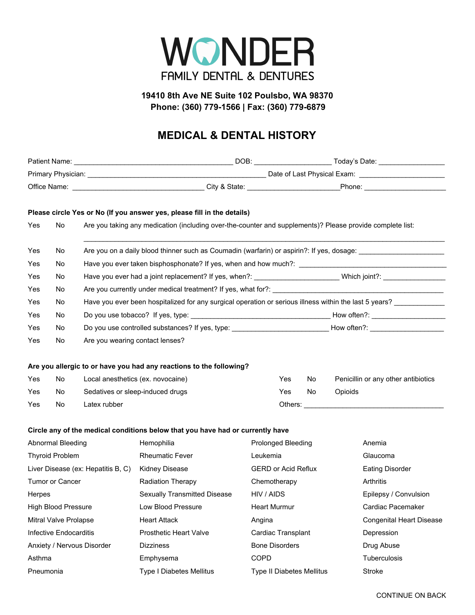

## **19410 8th Ave NE Suite 102 Poulsbo, WA 98370 Phone: (360) 779-1566 | Fax: (360) 779-6879**

## **MEDICAL & DENTAL HISTORY**

|                                    |     |                                                                                                                | Please circle Yes or No (If you answer yes, please fill in the details)                                        |              |                            |         |  |                                     |  |  |
|------------------------------------|-----|----------------------------------------------------------------------------------------------------------------|----------------------------------------------------------------------------------------------------------------|--------------|----------------------------|---------|--|-------------------------------------|--|--|
| Yes                                | No  | Are you taking any medication (including over-the-counter and supplements)? Please provide complete list:      |                                                                                                                |              |                            |         |  |                                     |  |  |
| Yes                                | No. | Are you on a daily blood thinner such as Coumadin (warfarin) or aspirin?: If yes, dosage: ____________________ |                                                                                                                |              |                            |         |  |                                     |  |  |
| Yes                                | No. |                                                                                                                |                                                                                                                |              |                            |         |  |                                     |  |  |
| Yes                                | No. |                                                                                                                | Have you ever had a joint replacement? If yes, when?: _________________________Which joint?: _________________ |              |                            |         |  |                                     |  |  |
| Yes                                | No. |                                                                                                                |                                                                                                                |              |                            |         |  |                                     |  |  |
| Yes                                | No. | Have you ever been hospitalized for any surgical operation or serious illness within the last 5 years?         |                                                                                                                |              |                            |         |  |                                     |  |  |
| Yes                                | No. |                                                                                                                |                                                                                                                |              |                            |         |  |                                     |  |  |
| Yes                                | No. |                                                                                                                | Do you use controlled substances? If yes, type: ________________________________How often?: __________________ |              |                            |         |  |                                     |  |  |
| Yes                                | No  | Are you wearing contact lenses?                                                                                |                                                                                                                |              |                            |         |  |                                     |  |  |
|                                    |     |                                                                                                                | Are you allergic to or have you had any reactions to the following?                                            |              |                            |         |  |                                     |  |  |
| Yes                                | No  |                                                                                                                | Local anesthetics (ex. novocaine)                                                                              |              | Yes                        | No      |  | Penicillin or any other antibiotics |  |  |
| Yes                                | No  |                                                                                                                | Sedatives or sleep-induced drugs                                                                               |              | Yes                        | Opioids |  |                                     |  |  |
| Yes                                | No. | Latex rubber                                                                                                   |                                                                                                                |              |                            |         |  |                                     |  |  |
|                                    |     |                                                                                                                | Circle any of the medical conditions below that you have had or currently have                                 |              |                            |         |  |                                     |  |  |
| Abnormal Bleeding                  |     |                                                                                                                | Hemophilia                                                                                                     |              | <b>Prolonged Bleeding</b>  |         |  | Anemia                              |  |  |
| <b>Thyroid Problem</b>             |     |                                                                                                                | <b>Rheumatic Fever</b>                                                                                         |              | Leukemia                   |         |  | Glaucoma                            |  |  |
| Liver Disease (ex: Hepatitis B, C) |     |                                                                                                                | <b>Kidney Disease</b>                                                                                          |              | <b>GERD or Acid Reflux</b> |         |  | <b>Eating Disorder</b>              |  |  |
| Tumor or Cancer                    |     |                                                                                                                | Radiation Therapy                                                                                              | Chemotherapy |                            |         |  | Arthritis                           |  |  |
| Herpes                             |     |                                                                                                                | <b>Sexually Transmitted Disease</b>                                                                            |              | HIV / AIDS                 |         |  | Epilepsy / Convulsion               |  |  |
| High Blood Pressure                |     |                                                                                                                | Low Blood Pressure                                                                                             |              | <b>Heart Murmur</b>        |         |  | Cardiac Pacemaker                   |  |  |
| Mitral Valve Prolapse              |     |                                                                                                                | <b>Heart Attack</b>                                                                                            | Angina       |                            |         |  | <b>Congenital Heart Disease</b>     |  |  |
| <b>Infective Endocarditis</b>      |     |                                                                                                                | Prosthetic Heart Valve                                                                                         |              | Cardiac Transplant         |         |  | Depression                          |  |  |
| Anxiety / Nervous Disorder         |     |                                                                                                                | <b>Dizziness</b>                                                                                               |              | <b>Bone Disorders</b>      |         |  | Drug Abuse                          |  |  |
| Asthma                             |     |                                                                                                                | Emphysema                                                                                                      | <b>COPD</b>  |                            |         |  | Tuberculosis                        |  |  |
| Pneumonia                          |     |                                                                                                                | Type I Diabetes Mellitus                                                                                       |              | Type II Diabetes Mellitus  |         |  | Stroke                              |  |  |
|                                    |     |                                                                                                                |                                                                                                                |              |                            |         |  |                                     |  |  |